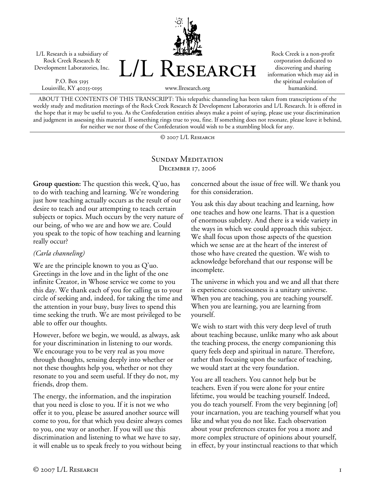L/L Research is a subsidiary of Rock Creek Research & Development Laboratories, Inc.

P.O. Box 5195 Louisville, KY 40255-0195 L/L Research

Rock Creek is a non-profit corporation dedicated to discovering and sharing information which may aid in the spiritual evolution of humankind.

www.llresearch.org

ABOUT THE CONTENTS OF THIS TRANSCRIPT: This telepathic channeling has been taken from transcriptions of the weekly study and meditation meetings of the Rock Creek Research & Development Laboratories and L/L Research. It is offered in the hope that it may be useful to you. As the Confederation entities always make a point of saying, please use your discrimination and judgment in assessing this material. If something rings true to you, fine. If something does not resonate, please leave it behind, for neither we nor those of the Confederation would wish to be a stumbling block for any.

© 2007 L/L Research

## SUNDAY MEDITATION December 17, 2006

**Group question:** The question this week, Q'uo, has to do with teaching and learning. We're wondering just how teaching actually occurs as the result of our desire to teach and our attempting to teach certain subjects or topics. Much occurs by the very nature of our being, of who we are and how we are. Could you speak to the topic of how teaching and learning really occur?

## *(Carla channeling)*

We are the principle known to you as Q'uo. Greetings in the love and in the light of the one infinite Creator, in Whose service we come to you this day. We thank each of you for calling us to your circle of seeking and, indeed, for taking the time and the attention in your busy, busy lives to spend this time seeking the truth. We are most privileged to be able to offer our thoughts.

However, before we begin, we would, as always, ask for your discrimination in listening to our words. We encourage you to be very real as you move through thoughts, sensing deeply into whether or not these thoughts help you, whether or not they resonate to you and seem useful. If they do not, my friends, drop them.

The energy, the information, and the inspiration that you need is close to you. If it is not we who offer it to you, please be assured another source will come to you, for that which you desire always comes to you, one way or another. If you will use this discrimination and listening to what we have to say, it will enable us to speak freely to you without being

concerned about the issue of free will. We thank you for this consideration.

You ask this day about teaching and learning, how one teaches and how one learns. That is a question of enormous subtlety. And there is a wide variety in the ways in which we could approach this subject. We shall focus upon those aspects of the question which we sense are at the heart of the interest of those who have created the question. We wish to acknowledge beforehand that our response will be incomplete.

The universe in which you and we and all that there is experience consciousness is a unitary universe. When you are teaching, you are teaching yourself. When you are learning, you are learning from yourself.

We wish to start with this very deep level of truth about teaching because, unlike many who ask about the teaching process, the energy companioning this query feels deep and spiritual in nature. Therefore, rather than focusing upon the surface of teaching, we would start at the very foundation.

You are all teachers. You cannot help but be teachers. Even if you were alone for your entire lifetime, you would be teaching yourself. Indeed, you do teach yourself. From the very beginning [of] your incarnation, you are teaching yourself what you like and what you do not like. Each observation about your preferences creates for you a more and more complex structure of opinions about yourself, in effect, by your instinctual reactions to that which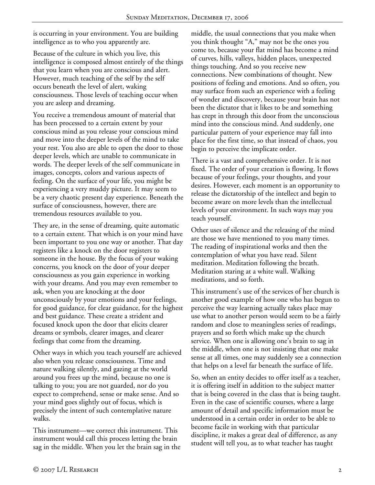is occurring in your environment. You are building intelligence as to who you apparently are.

Because of the culture in which you live, this intelligence is composed almost entirely of the things that you learn when you are conscious and alert. However, much teaching of the self by the self occurs beneath the level of alert, waking consciousness. Those levels of teaching occur when you are asleep and dreaming.

You receive a tremendous amount of material that has been processed to a certain extent by your conscious mind as you release your conscious mind and move into the deeper levels of the mind to take your rest. You also are able to open the door to those deeper levels, which are unable to communicate in words. The deeper levels of the self communicate in images, concepts, colors and various aspects of feeling. On the surface of your life, you might be experiencing a very muddy picture. It may seem to be a very chaotic present day experience. Beneath the surface of consciousness, however, there are tremendous resources available to you.

They are, in the sense of dreaming, quite automatic to a certain extent. That which is on your mind have been important to you one way or another. That day registers like a knock on the door registers to someone in the house. By the focus of your waking concerns, you knock on the door of your deeper consciousness as you gain experience in working with your dreams. And you may even remember to ask, when you are knocking at the door unconsciously by your emotions and your feelings, for good guidance, for clear guidance, for the highest and best guidance. These create a strident and focused knock upon the door that elicits clearer dreams or symbols, clearer images, and clearer feelings that come from the dreaming.

Other ways in which you teach yourself are achieved also when you release consciousness. Time and nature walking silently, and gazing at the world around you frees up the mind, because no one is talking to you; you are not guarded, nor do you expect to comprehend, sense or make sense. And so your mind goes slightly out of focus, which is precisely the intent of such contemplative nature walks.

This instrument—we correct this instrument. This instrument would call this process letting the brain sag in the middle. When you let the brain sag in the middle, the usual connections that you make when you think thought "A," may not be the ones you come to, because your flat mind has become a mind of curves, hills, valleys, hidden places, unexpected things touching. And so you receive new connections. New combinations of thought. New positions of feeling and emotions. And so often, you may surface from such an experience with a feeling of wonder and discovery, because your brain has not been the dictator that it likes to be and something has crept in through this door from the unconscious mind into the conscious mind. And suddenly, one particular pattern of your experience may fall into place for the first time, so that instead of chaos, you begin to perceive the implicate order.

There is a vast and comprehensive order. It is not fixed. The order of your creation is flowing. It flows because of your feelings, your thoughts, and your desires. However, each moment is an opportunity to release the dictatorship of the intellect and begin to become aware on more levels than the intellectual levels of your environment. In such ways may you teach yourself.

Other uses of silence and the releasing of the mind are those we have mentioned to you many times. The reading of inspirational works and then the contemplation of what you have read. Silent meditation. Meditation following the breath. Meditation staring at a white wall. Walking meditations, and so forth.

This instrument's use of the services of her church is another good example of how one who has begun to perceive the way learning actually takes place may use what to another person would seem to be a fairly random and close to meaningless series of readings, prayers and so forth which make up the church service. When one is allowing one's brain to sag in the middle, when one is not insisting that one make sense at all times, one may suddenly see a connection that helps on a level far beneath the surface of life.

So, when an entity decides to offer itself as a teacher, it is offering itself in addition to the subject matter that is being covered in the class that is being taught. Even in the case of scientific courses, where a large amount of detail and specific information must be understood in a certain order in order to be able to become facile in working with that particular discipline, it makes a great deal of difference, as any student will tell you, as to what teacher has taught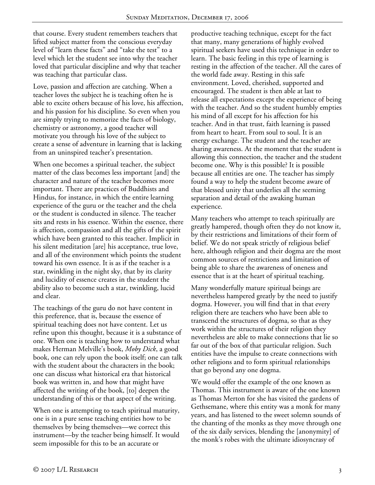that course. Every student remembers teachers that lifted subject matter from the conscious everyday level of "learn these facts" and "take the test" to a level which let the student see into why the teacher loved that particular discipline and why that teacher was teaching that particular class.

Love, passion and affection are catching. When a teacher loves the subject he is teaching often he is able to excite others because of his love, his affection, and his passion for his discipline. So even when you are simply trying to memorize the facts of biology, chemistry or astronomy, a good teacher will motivate you through his love of the subject to create a sense of adventure in learning that is lacking from an uninspired teacher's presentation.

When one becomes a spiritual teacher, the subject matter of the class becomes less important [and] the character and nature of the teacher becomes more important. There are practices of Buddhists and Hindus, for instance, in which the entire learning experience of the guru or the teacher and the chela or the student is conducted in silence. The teacher sits and rests in his essence. Within the essence, there is affection, compassion and all the gifts of the spirit which have been granted to this teacher. Implicit in his silent meditation [are] his acceptance, true love, and all of the environment which points the student toward his own essence. It is as if the teacher is a star, twinkling in the night sky, that by its clarity and lucidity of essence creates in the student the ability also to become such a star, twinkling, lucid and clear.

The teachings of the guru do not have content in this preference, that is, because the essence of spiritual teaching does not have content. Let us refine upon this thought, because it is a substance of one. When one is teaching how to understand what makes Herman Melville's book, *Moby Dick*, a good book, one can rely upon the book itself; one can talk with the student about the characters in the book; one can discuss what historical era that historical book was written in, and how that might have affected the writing of the book, [to] deepen the understanding of this or that aspect of the writing.

When one is attempting to teach spiritual maturity, one is in a pure sense teaching entities how to be themselves by being themselves—we correct this instrument—by the teacher being himself. It would seem impossible for this to be an accurate or

productive teaching technique, except for the fact that many, many generations of highly evolved spiritual seekers have used this technique in order to learn. The basic feeling in this type of learning is resting in the affection of the teacher. All the cares of the world fade away. Resting in this safe environment. Loved, cherished, supported and encouraged. The student is then able at last to release all expectations except the experience of being with the teacher. And so the student humbly empties his mind of all except for his affection for his teacher. And in that trust, faith learning is passed from heart to heart. From soul to soul. It is an energy exchange. The student and the teacher are sharing awareness. At the moment that the student is allowing this connection, the teacher and the student become one. Why is this possible? It is possible because all entities are one. The teacher has simply found a way to help the student become aware of that blessed unity that underlies all the seeming separation and detail of the awaking human experience.

Many teachers who attempt to teach spiritually are greatly hampered, though often they do not know it, by their restrictions and limitations of their form of belief. We do not speak strictly of religious belief here, although religion and their dogma are the most common sources of restrictions and limitation of being able to share the awareness of oneness and essence that is at the heart of spiritual teaching.

Many wonderfully mature spiritual beings are nevertheless hampered greatly by the need to justify dogma. However, you will find that in that every religion there are teachers who have been able to transcend the structures of dogma, so that as they work within the structures of their religion they nevertheless are able to make connections that lie so far out of the box of that particular religion. Such entities have the impulse to create connections with other religions and to form spiritual relationships that go beyond any one dogma.

We would offer the example of the one known as Thomas. This instrument is aware of the one known as Thomas Merton for she has visited the gardens of Gethsemane, where this entity was a monk for many years, and has listened to the sweet solemn sounds of the chanting of the monks as they move through one of the six daily services, blending the [anonymity] of the monk's robes with the ultimate idiosyncrasy of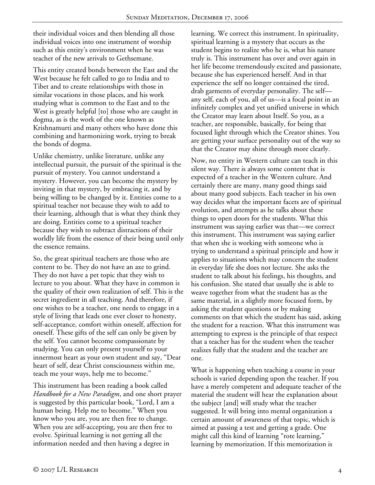their individual voices and then blending all those individual voices into one instrument of worship such as this entity's environment when he was teacher of the new arrivals to Gethsemane.

This entity created bonds between the East and the West because he felt called to go to India and to Tibet and to create relationships with those in similar vocations in those places, and his work studying what is common to the East and to the West is greatly helpful [to] those who are caught in dogma, as is the work of the one known as Krishnamurti and many others who have done this combining and harmonizing work, trying to break the bonds of dogma.

Unlike chemistry, unlike literature, unlike any intellectual pursuit, the pursuit of the spiritual is the pursuit of mystery. You cannot understand a mystery. However, you can become the mystery by inviting in that mystery, by embracing it, and by being willing to be changed by it. Entities come to a spiritual teacher not because they wish to add to their learning, although that is what they think they are doing. Entities come to a spiritual teacher because they wish to subtract distractions of their worldly life from the essence of their being until only the essence remains.

So, the great spiritual teachers are those who are content to be. They do not have an axe to grind. They do not have a pet topic that they wish to lecture to you about. What they have in common is the quality of their own realization of self. This is the secret ingredient in all teaching. And therefore, if one wishes to be a teacher, one needs to engage in a style of living that leads one ever closer to honesty, self-acceptance, comfort within oneself, affection for oneself. These gifts of the self can only be given by the self. You cannot become compassionate by studying. You can only present yourself to your innermost heart as your own student and say, "Dear heart of self, dear Christ consciousness within me, teach me your ways, help me to become."

This instrument has been reading a book called *Handbook for a New Paradigm*, and one short prayer is suggested by this particular book, "Lord, I am a human being. Help me to become." When you know who you are, you are then free to change. When you are self-accepting, you are then free to evolve. Spiritual learning is not getting all the information needed and then having a degree in

learning. We correct this instrument. In spirituality, spiritual learning is a mystery that occurs as the student begins to realize who he is, what his nature truly is. This instrument has over and over again in her life become tremendously excited and passionate, because she has experienced herself. And in that experience the self no longer contained the tired, drab garments of everyday personality. The self any self, each of you, all of us—is a focal point in an infinitely complex and yet unified universe in which the Creator may learn about Itself. So you, as a teacher, are responsible, basically, for being that focused light through which the Creator shines. You are getting your surface personality out of the way so that the Creator may shine through more clearly.

Now, no entity in Western culture can teach in this silent way. There is always some content that is expected of a teacher in the Western culture. And certainly there are many, many good things said about many good subjects. Each teacher in his own way decides what the important facets are of spiritual evolution, and attempts as he talks about these things to open doors for the students. What this instrument was saying earlier was that—we correct this instrument. This instrument was saying earlier that when she is working with someone who is trying to understand a spiritual principle and how it applies to situations which may concern the student in everyday life she does not lecture. She asks the student to talk about his feelings, his thoughts, and his confusion. She stated that usually she is able to weave together from what the student has as the same material, in a slightly more focused form, by asking the student questions or by making comments on that which the student has said, asking the student for a reaction. What this instrument was attempting to express is the principle of that respect that a teacher has for the student when the teacher realizes fully that the student and the teacher are one.

What is happening when teaching a course in your schools is varied depending upon the teacher. If you have a merely competent and adequate teacher of the material the student will hear the explanation about the subject [and] will study what the teacher suggested. It will bring into mental organization a certain amount of awareness of that topic, which is aimed at passing a test and getting a grade. One might call this kind of learning "rote learning," learning by memorization. If this memorization is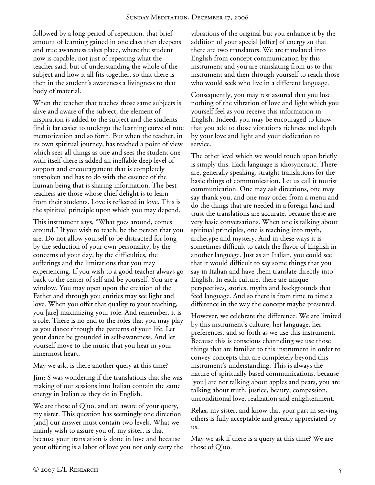followed by a long period of repetition, that brief amount of learning gained in one class then deepens and true awareness takes place, where the student now is capable, not just of repeating what the teacher said, but of understanding the whole of the subject and how it all fits together, so that there is then in the student's awareness a livingness to that body of material.

When the teacher that teaches those same subjects is alive and aware of the subject, the element of inspiration is added to the subject and the students find it far easier to undergo the learning curve of rote memorization and so forth. But when the teacher, in its own spiritual journey, has reached a point of view which sees all things as one and sees the student one with itself there is added an ineffable deep level of support and encouragement that is completely unspoken and has to do with the essence of the human being that is sharing information. The best teachers are those whose chief delight is to learn from their students. Love is reflected in love. This is the spiritual principle upon which you may depend.

This instrument says, "What goes around, comes around." If you wish to teach, be the person that you are. Do not allow yourself to be distracted for long by the seduction of your own personality, by the concerns of your day, by the difficulties, the sufferings and the limitations that you may experiencing. If you wish to a good teacher always go back to the center of self and be yourself. You are a window. You may open upon the creation of the Father and through you entities may see light and love. When you offer that quality to your teaching, you [are] maximizing your role. And remember, it is a role. There is no end to the roles that you may play as you dance through the patterns of your life. Let your dance be grounded in self-awareness. And let yourself move to the music that you hear in your innermost heart.

May we ask, is there another query at this time?

**Jim:** S was wondering if the translations that she was making of our sessions into Italian contain the same energy in Italian as they do in English.

We are those of Q'uo, and are aware of your query, my sister. This question has seemingly one direction [and] our answer must contain two levels. What we mainly wish to assure you of, my sister, is that because your translation is done in love and because your offering is a labor of love you not only carry the vibrations of the original but you enhance it by the addition of your special [offer] of energy so that there are two translators. We are translated into English from concept communication by this instrument and you are translating from us to this instrument and then through yourself to reach those who would seek who live in a different language.

Consequently, you may rest assured that you lose nothing of the vibration of love and light which you yourself feel as you receive this information in English. Indeed, you may be encouraged to know that you add to those vibrations richness and depth by your love and light and your dedication to service.

The other level which we would touch upon briefly is simply this. Each language is idiosyncratic. There are, generally speaking, straight translations for the basic things of communication. Let us call it tourist communication. One may ask directions, one may say thank you, and one may order from a menu and do the things that are needed in a foreign land and trust the translations are accurate, because these are very basic conversations. When one is talking about spiritual principles, one is reaching into myth, archetype and mystery. And in these ways it is sometimes difficult to catch the flavor of English in another language. Just as an Italian, you could see that it would difficult to say some things that you say in Italian and have them translate directly into English. In each culture, there are unique perspectives, stories, myths and backgrounds that feed language. And so there is from time to time a difference in the way the concept maybe presented.

However, we celebrate the difference. We are limited by this instrument's culture, her language, her preferences, and so forth as we use this instrument. Because this is conscious channeling we use those things that are familiar to this instrument in order to convey concepts that are completely beyond this instrument's understanding. This is always the nature of spiritually based communications, because [you] are not talking about apples and pears, you are talking about truth, justice, beauty, compassion, unconditional love, realization and enlightenment.

Relax, my sister, and know that your part in serving others is fully acceptable and greatly appreciated by us.

May we ask if there is a query at this time? We are those of Q'uo.